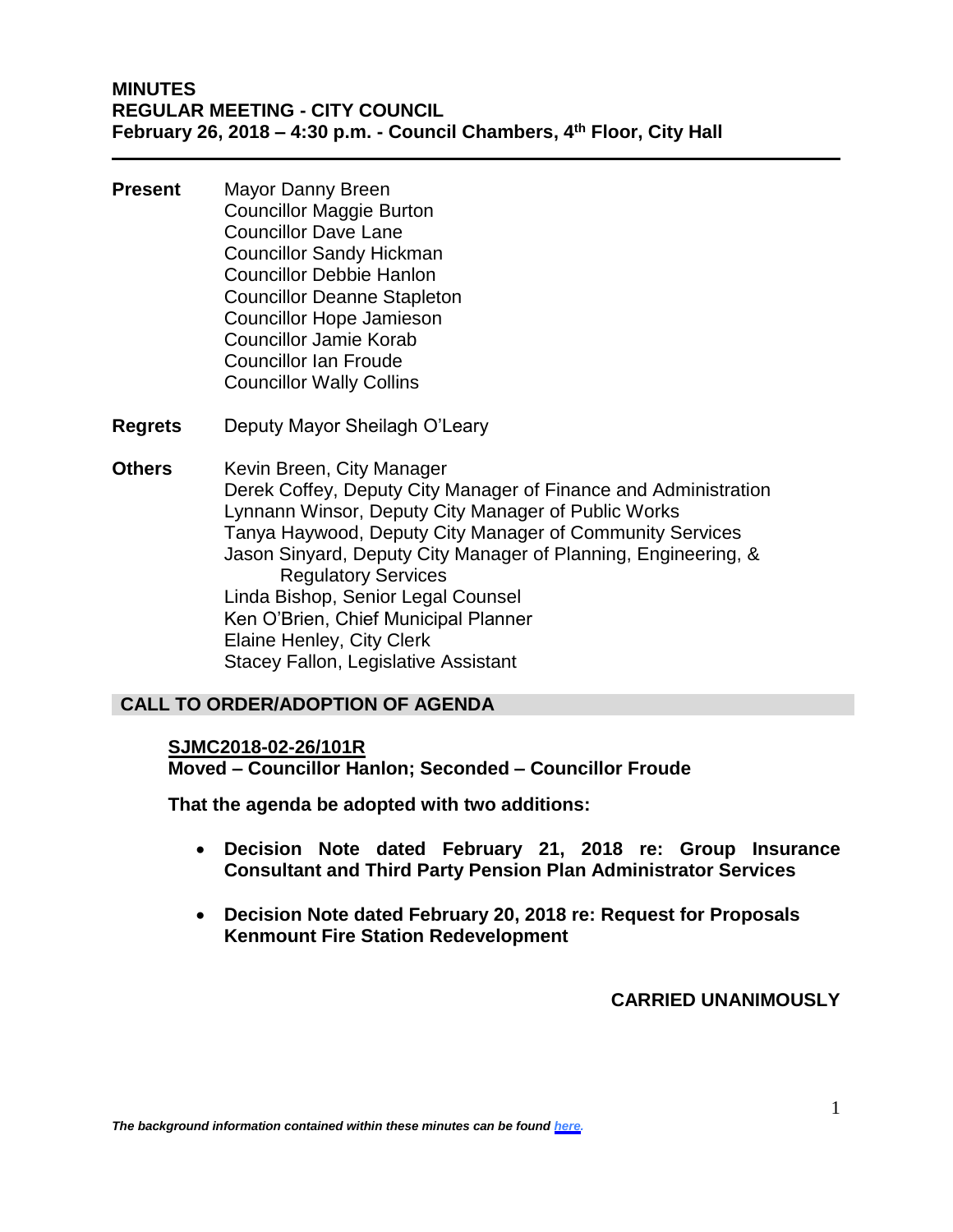### **MINUTES REGULAR MEETING - CITY COUNCIL February 26, 2018 – 4:30 p.m. - Council Chambers, 4th Floor, City Hall**

- **Present** Mayor Danny Breen Councillor Maggie Burton Councillor Dave Lane Councillor Sandy Hickman Councillor Debbie Hanlon Councillor Deanne Stapleton Councillor Hope Jamieson Councillor Jamie Korab Councillor Ian Froude Councillor Wally Collins
- **Regrets** Deputy Mayor Sheilagh O'Leary

**Others** Kevin Breen, City Manager Derek Coffey, Deputy City Manager of Finance and Administration Lynnann Winsor, Deputy City Manager of Public Works Tanya Haywood, Deputy City Manager of Community Services Jason Sinyard, Deputy City Manager of Planning, Engineering, & Regulatory Services Linda Bishop, Senior Legal Counsel Ken O'Brien, Chief Municipal Planner Elaine Henley, City Clerk Stacey Fallon, Legislative Assistant

### **CALL TO ORDER/ADOPTION OF AGENDA**

### **SJMC2018-02-26/101R**

**Moved – Councillor Hanlon; Seconded – Councillor Froude**

**That the agenda be adopted with two additions:**

- **Decision Note dated February 21, 2018 re: Group Insurance Consultant and Third Party Pension Plan Administrator Services**
- **Decision Note dated February 20, 2018 re: Request for Proposals Kenmount Fire Station Redevelopment**

**CARRIED UNANIMOUSLY**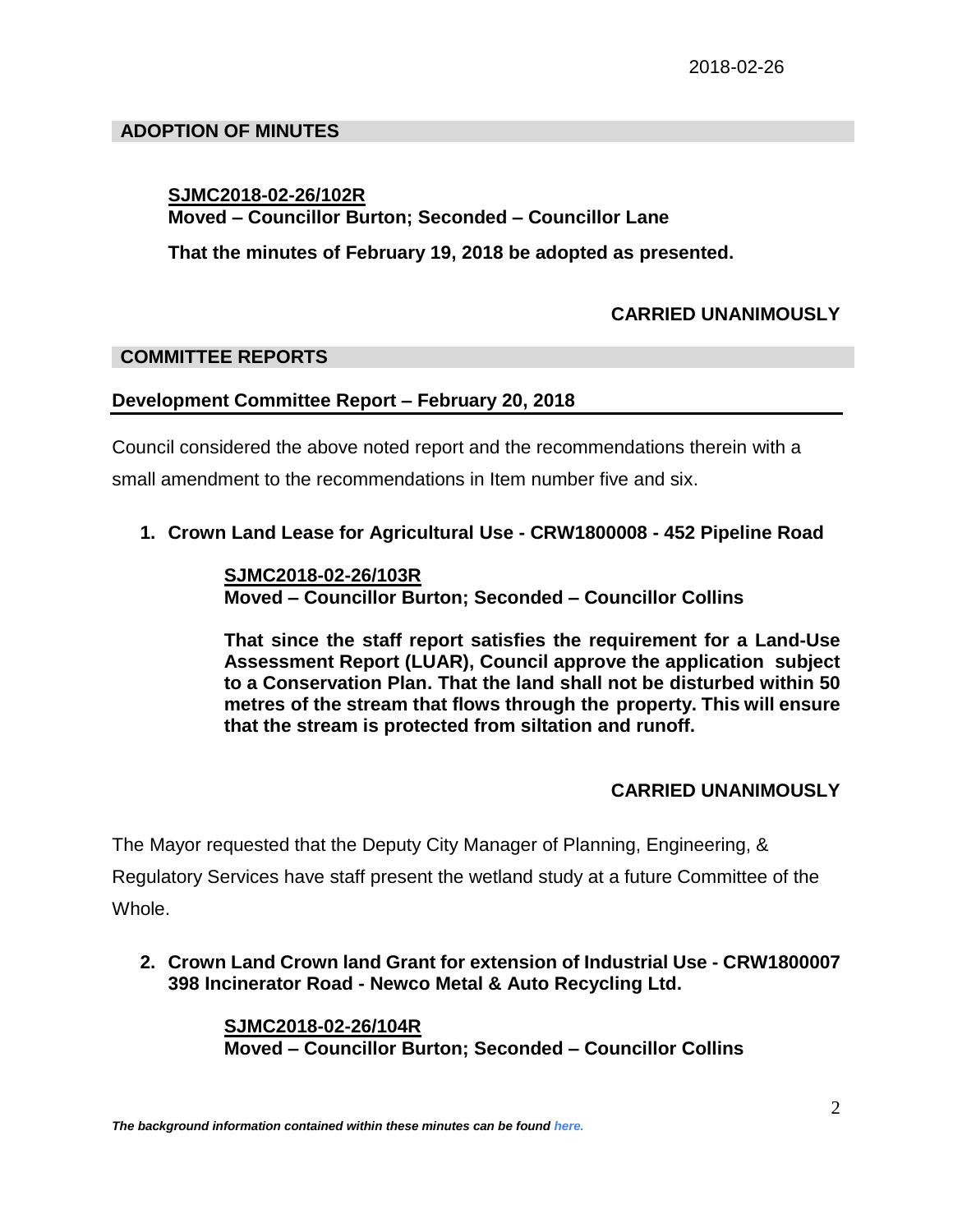# **ADOPTION OF MINUTES**

# **SJMC2018-02-26/102R**

# **Moved – Councillor Burton; Seconded – Councillor Lane**

**That the minutes of February 19, 2018 be adopted as presented.**

# **CARRIED UNANIMOUSLY**

## **COMMITTEE REPORTS**

## **Development Committee Report – February 20, 2018**

Council considered the above noted report and the recommendations therein with a small amendment to the recommendations in Item number five and six.

**1. Crown Land Lease for Agricultural Use - CRW1800008 - 452 Pipeline Road**

**SJMC2018-02-26/103R Moved – Councillor Burton; Seconded – Councillor Collins**

**That since the staff report satisfies the requirement for a Land-Use Assessment Report (LUAR), Council approve the application subject to a Conservation Plan. That the land shall not be disturbed within 50 metres of the stream that flows through the property. This will ensure that the stream is protected from siltation and runoff.**

## **CARRIED UNANIMOUSLY**

The Mayor requested that the Deputy City Manager of Planning, Engineering, &

Regulatory Services have staff present the wetland study at a future Committee of the Whole.

**2. Crown Land Crown land Grant for extension of Industrial Use - CRW1800007 398 Incinerator Road - Newco Metal & Auto Recycling Ltd.**

> **SJMC2018-02-26/104R Moved – Councillor Burton; Seconded – Councillor Collins**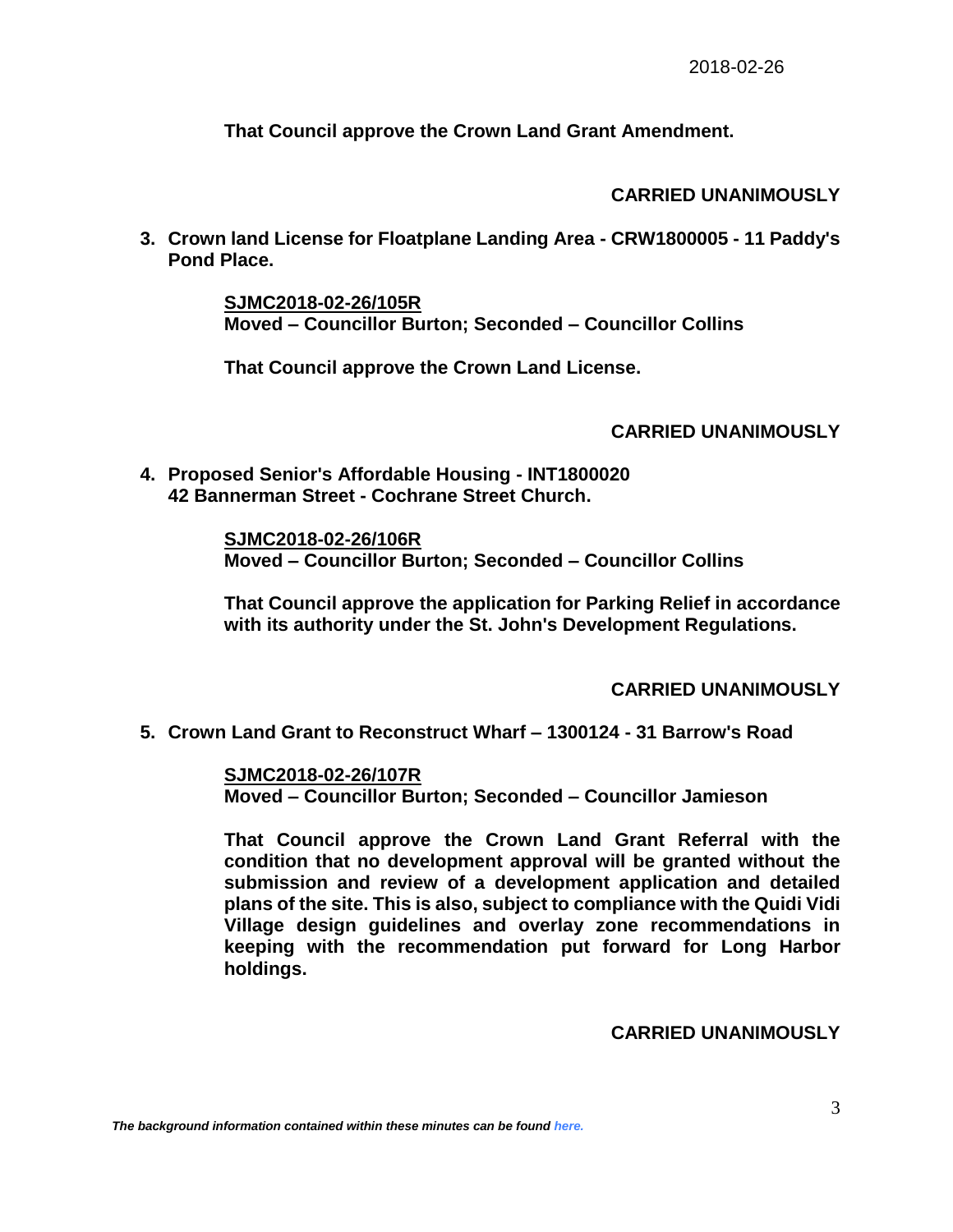**That Council approve the Crown Land Grant Amendment.** 

## **CARRIED UNANIMOUSLY**

**3. Crown land License for Floatplane Landing Area - CRW1800005 - 11 Paddy's Pond Place.**

> **SJMC2018-02-26/105R Moved – Councillor Burton; Seconded – Councillor Collins**

**That Council approve the Crown Land License.** 

# **CARRIED UNANIMOUSLY**

**4. Proposed Senior's Affordable Housing - INT1800020 42 Bannerman Street - Cochrane Street Church.**

> **SJMC2018-02-26/106R Moved – Councillor Burton; Seconded – Councillor Collins**

**That Council approve the application for Parking Relief in accordance with its authority under the St. John's Development Regulations.**

## **CARRIED UNANIMOUSLY**

**5. Crown Land Grant to Reconstruct Wharf – 1300124 - 31 Barrow's Road**

**SJMC2018-02-26/107R Moved – Councillor Burton; Seconded – Councillor Jamieson**

**That Council approve the Crown Land Grant Referral with the condition that no development approval will be granted without the submission and review of a development application and detailed plans of the site. This is also, subject to compliance with the Quidi Vidi Village design guidelines and overlay zone recommendations in keeping with the recommendation put forward for Long Harbor holdings.** 

## **CARRIED UNANIMOUSLY**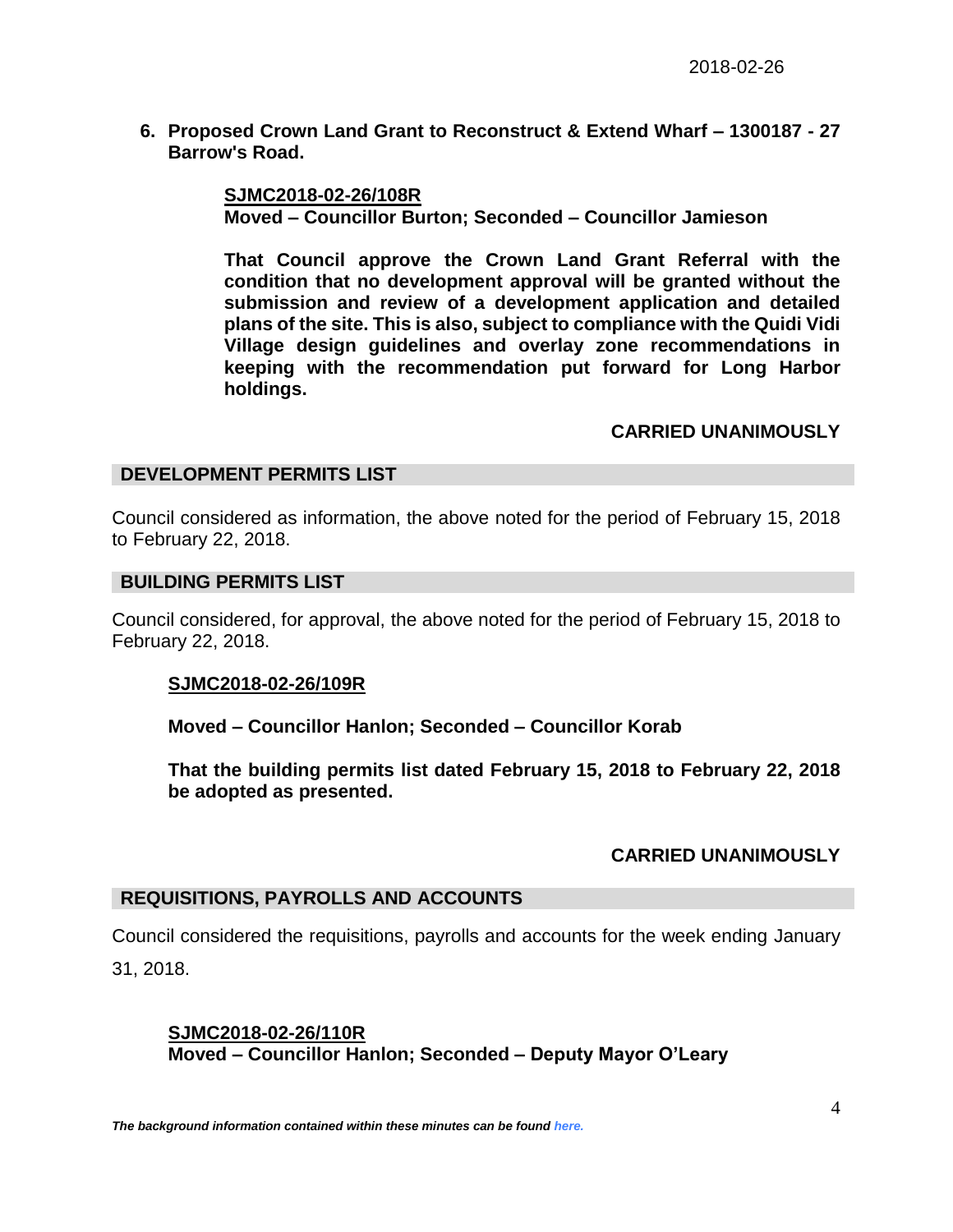**6. Proposed Crown Land Grant to Reconstruct & Extend Wharf – 1300187 - 27 Barrow's Road.**

> **SJMC2018-02-26/108R Moved – Councillor Burton; Seconded – Councillor Jamieson**

**That Council approve the Crown Land Grant Referral with the condition that no development approval will be granted without the submission and review of a development application and detailed plans of the site. This is also, subject to compliance with the Quidi Vidi Village design guidelines and overlay zone recommendations in keeping with the recommendation put forward for Long Harbor holdings.** 

### **CARRIED UNANIMOUSLY**

### **DEVELOPMENT PERMITS LIST**

Council considered as information, the above noted for the period of February 15, 2018 to February 22, 2018.

#### **BUILDING PERMITS LIST**

Council considered, for approval, the above noted for the period of February 15, 2018 to February 22, 2018.

### **SJMC2018-02-26/109R**

**Moved – Councillor Hanlon; Seconded – Councillor Korab**

**That the building permits list dated February 15, 2018 to February 22, 2018 be adopted as presented.**

### **CARRIED UNANIMOUSLY**

### **REQUISITIONS, PAYROLLS AND ACCOUNTS**

Council considered the requisitions, payrolls and accounts for the week ending January 31, 2018.

## **SJMC2018-02-26/110R Moved – Councillor Hanlon; Seconded – Deputy Mayor O'Leary**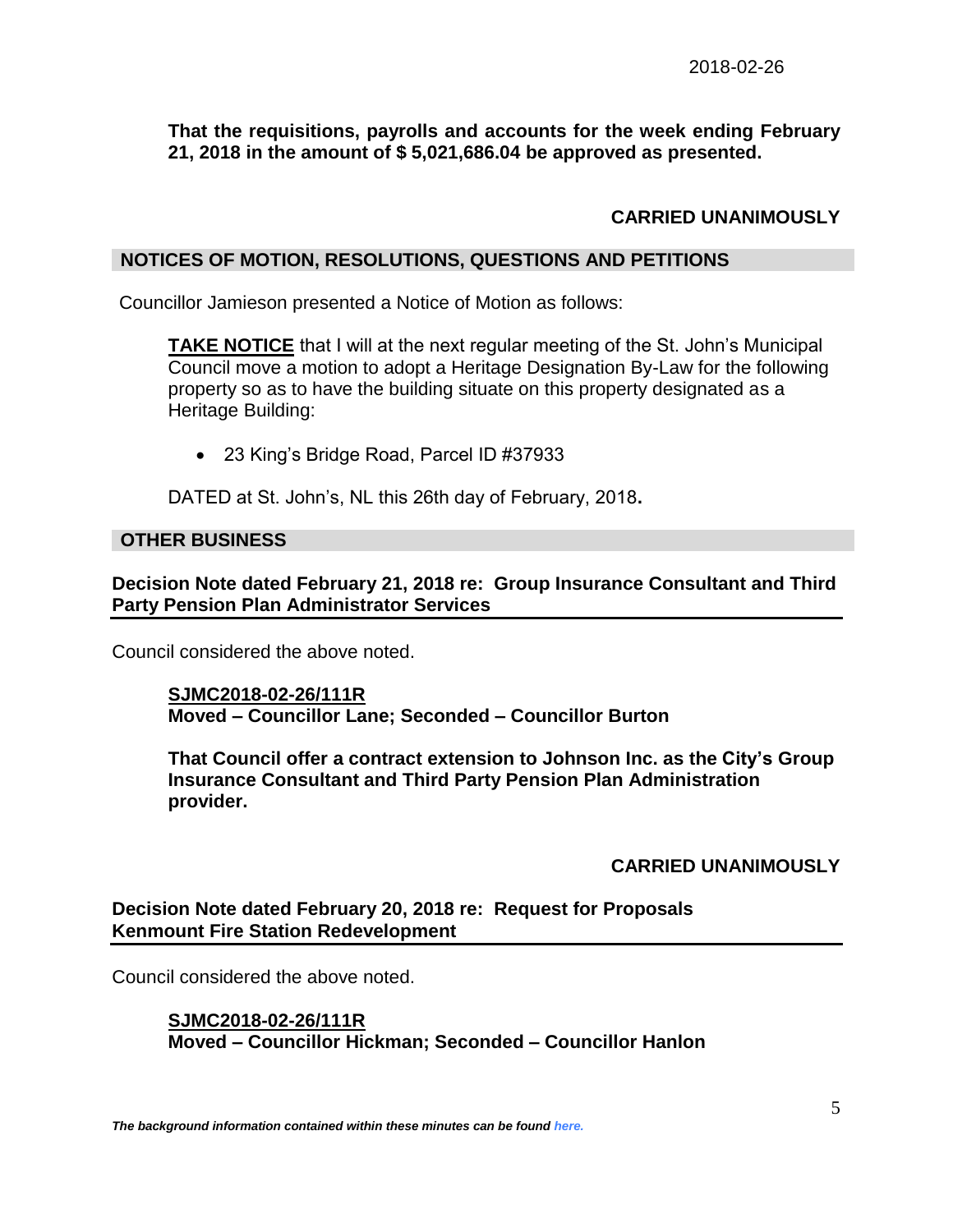## **That the requisitions, payrolls and accounts for the week ending February 21, 2018 in the amount of \$ 5,021,686.04 be approved as presented.**

# **CARRIED UNANIMOUSLY**

#### **NOTICES OF MOTION, RESOLUTIONS, QUESTIONS AND PETITIONS**

Councillor Jamieson presented a Notice of Motion as follows:

**TAKE NOTICE** that I will at the next regular meeting of the St. John's Municipal Council move a motion to adopt a Heritage Designation By-Law for the following property so as to have the building situate on this property designated as a Heritage Building:

23 King's Bridge Road, Parcel ID #37933

DATED at St. John's, NL this 26th day of February, 2018**.**

#### **OTHER BUSINESS**

**Decision Note dated February 21, 2018 re: Group Insurance Consultant and Third Party Pension Plan Administrator Services** 

Council considered the above noted.

**SJMC2018-02-26/111R Moved – Councillor Lane; Seconded – Councillor Burton**

**That Council offer a contract extension to Johnson Inc. as the City's Group Insurance Consultant and Third Party Pension Plan Administration provider.**

### **CARRIED UNANIMOUSLY**

**Decision Note dated February 20, 2018 re: Request for Proposals Kenmount Fire Station Redevelopment**

Council considered the above noted.

**SJMC2018-02-26/111R Moved – Councillor Hickman; Seconded – Councillor Hanlon**